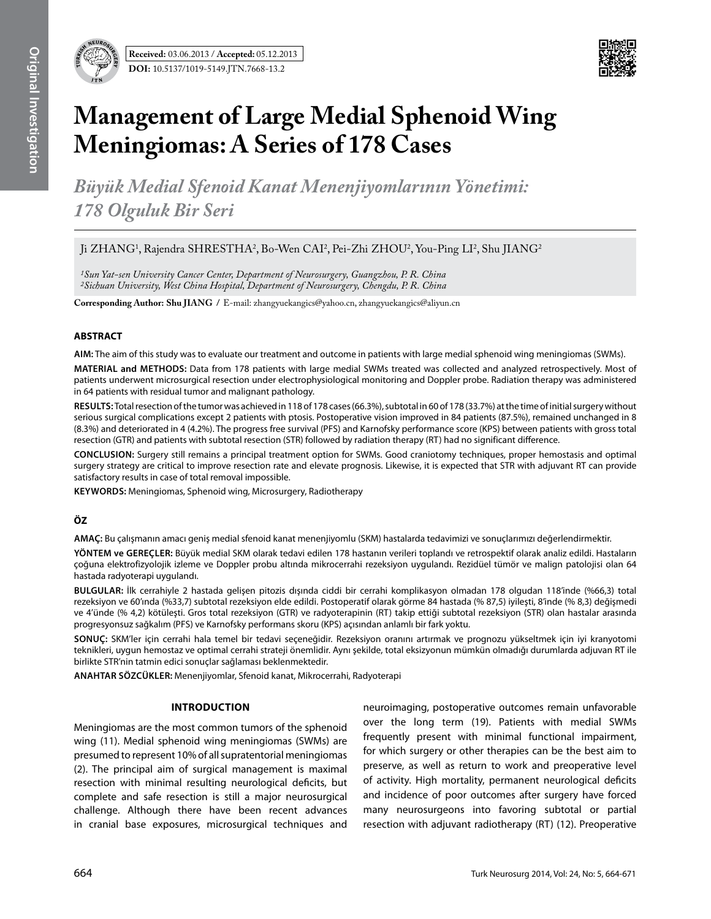

# **Management of Large Medial Sphenoid Wing Meningiomas: A Series of 178 Cases**

*Büyük Medial Sfenoid Kanat Menenjiyomlarının Yönetimi: 178 Olguluk Bir Seri* 

Ji ZHANG<sup>1</sup>, Rajendra SHRESTHA<sup>2</sup>, Bo-Wen CAI<sup>2</sup>, Pei-Zhi ZHOU<sup>2</sup>, You-Ping LI<sup>2</sup>, Shu JIANG<sup>2</sup>

*1Sun Yat-sen University Cancer Center, Department of Neurosurgery, Guangzhou, P. R. China 2Sichuan University, West China Hospital, Department of Neurosurgery, Chengdu, P. R. China*

**Corresponding Author: Shu JIang /** E-mail: zhangyuekangics@yahoo.cn, zhangyuekangics@aliyun.cn

## **ABSTRACT**

**AIm:** The aim of this study was to evaluate our treatment and outcome in patients with large medial sphenoid wing meningiomas (SWMs).

**MaterIal and Methods:** Data from 178 patients with large medial SWMs treated was collected and analyzed retrospectively. Most of patients underwent microsurgical resection under electrophysiological monitoring and Doppler probe. Radiation therapy was administered in 64 patients with residual tumor and malignant pathology.

**Results:** Total resection of the tumor was achieved in 118 of 178 cases (66.3%), subtotal in 60 of 178 (33.7%) at the time of initial surgery without serious surgical complications except 2 patients with ptosis. Postoperative vision improved in 84 patients (87.5%), remained unchanged in 8 (8.3%) and deteriorated in 4 (4.2%). The progress free survival (PFS) and Karnofsky performance score (KPS) between patients with gross total resection (GTR) and patients with subtotal resection (STR) followed by radiation therapy (RT) had no significant difference.

**ConclusIon:** Surgery still remains a principal treatment option for SWMs. Good craniotomy techniques, proper hemostasis and optimal surgery strategy are critical to improve resection rate and elevate prognosis. Likewise, it is expected that STR with adjuvant RT can provide satisfactory results in case of total removal impossible.

**Keywords:** Meningiomas, Sphenoid wing, Microsurgery, Radiotherapy

# **ÖZ**

**AMAÇ:** Bu çalışmanın amacı geniş medial sfenoid kanat menenjiyomlu (SKM) hastalarda tedavimizi ve sonuçlarımızı değerlendirmektir.

**YÖNTEM ve GEREÇLER:** Büyük medial SKM olarak tedavi edilen 178 hastanın verileri toplandı ve retrospektif olarak analiz edildi. Hastaların çoğuna elektrofizyolojik izleme ve Doppler probu altında mikrocerrahi rezeksiyon uygulandı. Rezidüel tümör ve malign patolojisi olan 64 hastada radyoterapi uygulandı.

**BULGULAR:** İlk cerrahiyle 2 hastada gelişen pitozis dışında ciddi bir cerrahi komplikasyon olmadan 178 olgudan 118'inde (%66,3) total rezeksiyon ve 60'ında (%33,7) subtotal rezeksiyon elde edildi. Postoperatif olarak görme 84 hastada (% 87,5) iyileşti, 8'inde (% 8,3) değişmedi ve 4'ünde (% 4,2) kötüleşti. Gros total rezeksiyon (GTR) ve radyoterapinin (RT) takip ettiği subtotal rezeksiyon (STR) olan hastalar arasında progresyonsuz sağkalım (PFS) ve Karnofsky performans skoru (KPS) açısından anlamlı bir fark yoktu.

**SONUÇ:** SKM'ler için cerrahi hala temel bir tedavi seçeneğidir. Rezeksiyon oranını artırmak ve prognozu yükseltmek için iyi kranyotomi teknikleri, uygun hemostaz ve optimal cerrahi strateji önemlidir. Aynı şekilde, total eksizyonun mümkün olmadığı durumlarda adjuvan RT ile birlikte STR'nin tatmin edici sonuçlar sağlaması beklenmektedir.

**ANAHTAR SÖZCÜKLER:** Menenjiyomlar, Sfenoid kanat, Mikrocerrahi, Radyoterapi

## **Introduction**

Meningiomas are the most common tumors of the sphenoid wing (11). Medial sphenoid wing meningiomas (SWMs) are presumed to represent 10% of all supratentorial meningiomas (2). The principal aim of surgical management is maximal resection with minimal resulting neurological deficits, but complete and safe resection is still a major neurosurgical challenge. Although there have been recent advances in cranial base exposures, microsurgical techniques and neuroimaging, postoperative outcomes remain unfavorable over the long term (19). Patients with medial SWMs frequently present with minimal functional impairment, for which surgery or other therapies can be the best aim to preserve, as well as return to work and preoperative level of activity. High mortality, permanent neurological deficits and incidence of poor outcomes after surgery have forced many neurosurgeons into favoring subtotal or partial resection with adjuvant radiotherapy (RT) (12). Preoperative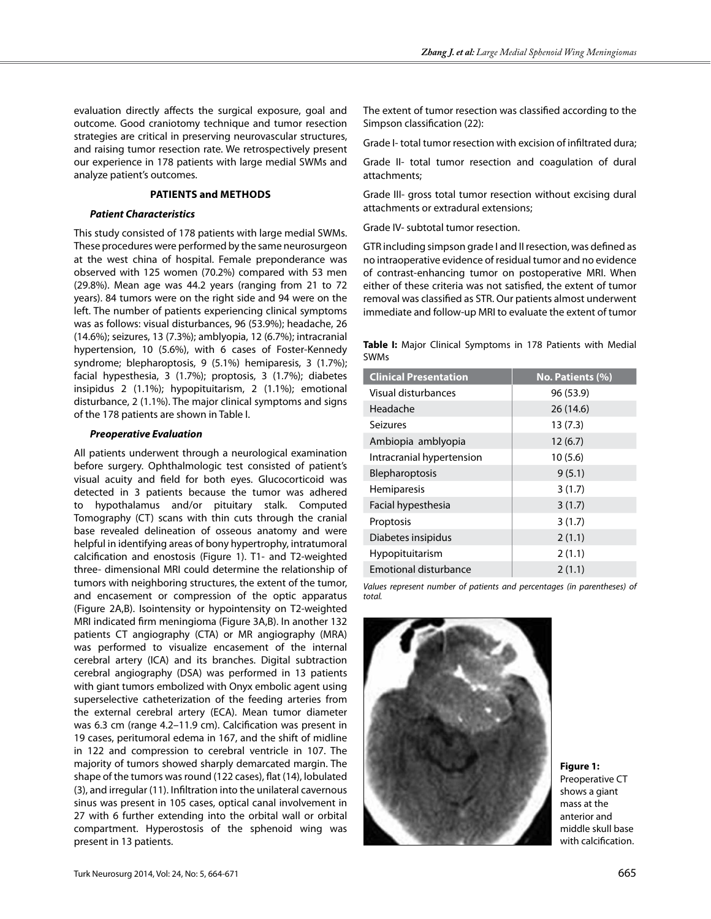evaluation directly affects the surgical exposure, goal and outcome. Good craniotomy technique and tumor resection strategies are critical in preserving neurovascular structures, and raising tumor resection rate. We retrospectively present our experience in 178 patients with large medial SWMs and analyze patient's outcomes.

## **Patients and methods**

### *Patient Characteristics*

This study consisted of 178 patients with large medial SWMs. These procedures were performed by the same neurosurgeon at the west china of hospital. Female preponderance was observed with 125 women (70.2%) compared with 53 men (29.8%). Mean age was 44.2 years (ranging from 21 to 72 years). 84 tumors were on the right side and 94 were on the left. The number of patients experiencing clinical symptoms was as follows: visual disturbances, 96 (53.9%); headache, 26 (14.6%); seizures, 13 (7.3%); amblyopia, 12 (6.7%); intracranial hypertension, 10 (5.6%), with 6 cases of Foster-Kennedy syndrome; blepharoptosis, 9 (5.1%) hemiparesis, 3 (1.7%); facial hypesthesia, 3 (1.7%); proptosis, 3 (1.7%); diabetes insipidus 2 (1.1%); hypopituitarism, 2 (1.1%); emotional disturbance, 2 (1.1%). The major clinical symptoms and signs of the 178 patients are shown in Table I.

### *Preoperative Evaluation*

All patients underwent through a neurological examination before surgery. Ophthalmologic test consisted of patient's visual acuity and field for both eyes. Glucocorticoid was detected in 3 patients because the tumor was adhered to hypothalamus and/or pituitary stalk. Computed Tomography (CT) scans with thin cuts through the cranial base revealed delineation of osseous anatomy and were helpful in identifying areas of bony hypertrophy, intratumoral calcification and enostosis (Figure 1). T1- and T2-weighted three- dimensional MRI could determine the relationship of tumors with neighboring structures, the extent of the tumor, and encasement or compression of the optic apparatus (Figure 2A,B). Isointensity or hypointensity on T2-weighted MRI indicated firm meningioma (Figure 3A,B). In another 132 patients CT angiography (CTA) or MR angiography (MRA) was performed to visualize encasement of the internal cerebral artery (ICA) and its branches. Digital subtraction cerebral angiography (DSA) was performed in 13 patients with giant tumors embolized with Onyx embolic agent using superselective catheterization of the feeding arteries from the external cerebral artery (ECA). Mean tumor diameter was 6.3 cm (range 4.2–11.9 cm). Calcification was present in 19 cases, peritumoral edema in 167, and the shift of midline in 122 and compression to cerebral ventricle in 107. The majority of tumors showed sharply demarcated margin. The shape of the tumors was round (122 cases), flat (14), lobulated (3), and irregular (11). Infiltration into the unilateral cavernous sinus was present in 105 cases, optical canal involvement in 27 with 6 further extending into the orbital wall or orbital compartment. Hyperostosis of the sphenoid wing was present in 13 patients.

The extent of tumor resection was classified according to the Simpson classification (22):

Grade I- total tumor resection with excision of infiltrated dura;

Grade II- total tumor resection and coagulation of dural attachments;

Grade III- gross total tumor resection without excising dural attachments or extradural extensions;

Grade IV- subtotal tumor resection.

GTR including simpson grade I and II resection, was defined as no intraoperative evidence of residual tumor and no evidence of contrast-enhancing tumor on postoperative MRI. When either of these criteria was not satisfied, the extent of tumor removal was classified as STR. Our patients almost underwent immediate and follow-up MRI to evaluate the extent of tumor

**Table I:** Major Clinical Symptoms in 178 Patients with Medial SWMs

| <b>Clinical Presentation</b> | No. Patients (%) |
|------------------------------|------------------|
| Visual disturbances          | 96 (53.9)        |
| Headache                     | 26(14.6)         |
| <b>Seizures</b>              | 13(7.3)          |
| Ambiopia amblyopia           | 12(6.7)          |
| Intracranial hypertension    | 10(5.6)          |
| <b>Blepharoptosis</b>        | 9(5.1)           |
| <b>Hemiparesis</b>           | 3(1.7)           |
| Facial hypesthesia           | 3(1.7)           |
| Proptosis                    | 3(1.7)           |
| Diabetes insipidus           | 2(1.1)           |
| Hypopituitarism              | 2(1.1)           |
| Emotional disturbance        | 2(1.1)           |

*Values represent number of patients and percentages (in parentheses) of total.*



**Figure 1:**  Preoperative CT shows a giant mass at the anterior and middle skull base with calcification.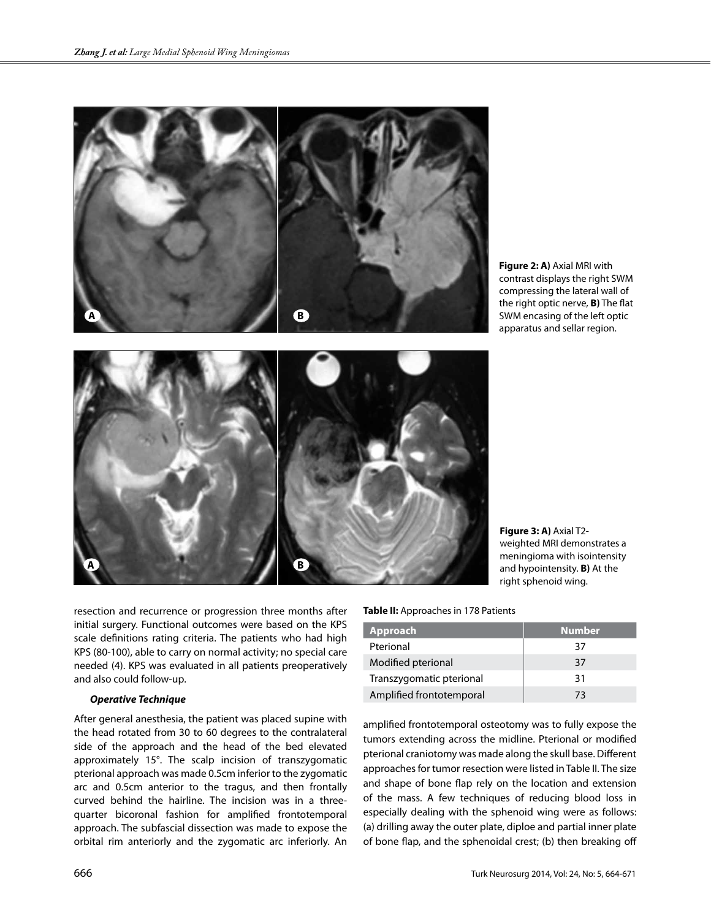

**Figure 2: A)** Axial MRI with contrast displays the right SWM compressing the lateral wall of the right optic nerve, **B)** The flat SWM encasing of the left optic apparatus and sellar region.



**Figure 3: A)** Axial T2 weighted MRI demonstrates a meningioma with isointensity and hypointensity. **B)** At the right sphenoid wing.

resection and recurrence or progression three months after initial surgery. Functional outcomes were based on the KPS scale definitions rating criteria. The patients who had high KPS (80-100), able to carry on normal activity; no special care needed (4). KPS was evaluated in all patients preoperatively and also could follow-up.

### *Operative Technique*

After general anesthesia, the patient was placed supine with the head rotated from 30 to 60 degrees to the contralateral side of the approach and the head of the bed elevated approximately 15°. The scalp incision of transzygomatic pterional approach was made 0.5cm inferior to the zygomatic arc and 0.5cm anterior to the tragus, and then frontally curved behind the hairline. The incision was in a threequarter bicoronal fashion for amplified frontotemporal approach. The subfascial dissection was made to expose the orbital rim anteriorly and the zygomatic arc inferiorly. An

# **Table II:** Approaches in 178 Patients

| Approach                 | <b>Number</b> |
|--------------------------|---------------|
| Pterional                | 37            |
| Modified pterional       | 37            |
| Transzygomatic pterional | 31            |
| Amplified frontotemporal | 73            |

amplified frontotemporal osteotomy was to fully expose the tumors extending across the midline. Pterional or modified pterional craniotomy was made along the skull base. Different approaches for tumor resection were listed in Table II. The size and shape of bone flap rely on the location and extension of the mass. A few techniques of reducing blood loss in especially dealing with the sphenoid wing were as follows: (a) drilling away the outer plate, diploe and partial inner plate of bone flap, and the sphenoidal crest; (b) then breaking off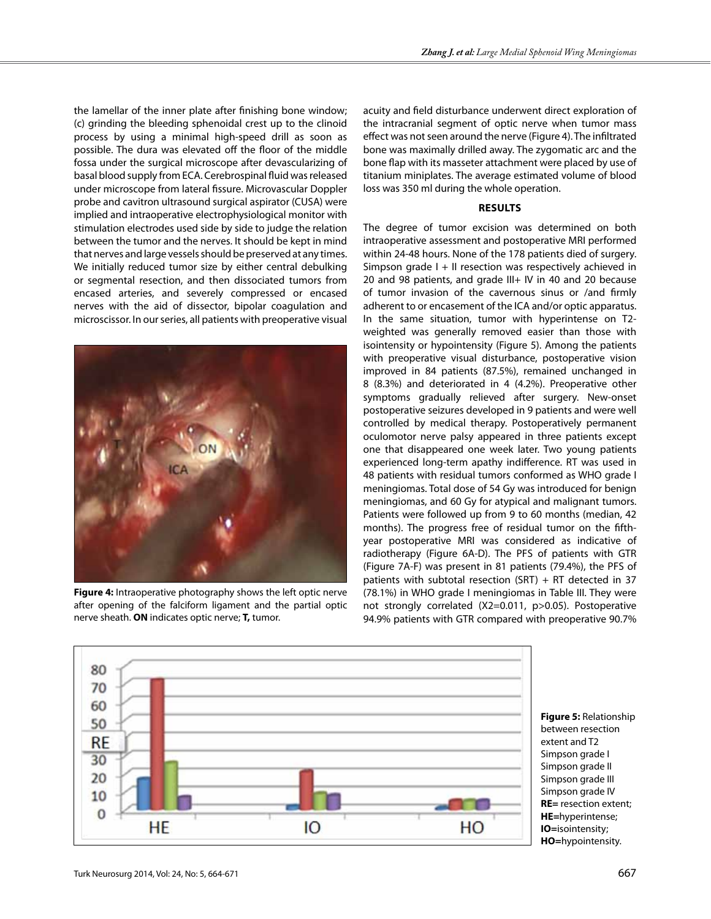possible. The dura was elevated off the floor of the middle fossa under the surgical microscope after devascularizing of basal blood supply from ECA. Cerebrospinal fluid was released under microscope from lateral fissure. Microvascular Doppler probe and cavitron ultrasound surgical aspirator (CUSA) were implied and intraoperative electrophysiological monitor with stimulation electrodes used side by side to judge the relation between the tumor and the nerves. It should be kept in mind that nerves and large vessels should be preserved at any times. We initially reduced tumor size by either central debulking or segmental resection, and then dissociated tumors from encased arteries, and severely compressed or encased nerves with the aid of dissector, bipolar coagulation and microscissor. In our series, all patients with preoperative visual

the lamellar of the inner plate after finishing bone window; (c) grinding the bleeding sphenoidal crest up to the clinoid process by using a minimal high-speed drill as soon as



**Figure 4:** Intraoperative photography shows the left optic nerve after opening of the falciform ligament and the partial optic nerve sheath. **ON** indicates optic nerve; **T,** tumor.

acuity and field disturbance underwent direct exploration of the intracranial segment of optic nerve when tumor mass effect was not seen around the nerve (Figure 4). The infiltrated bone was maximally drilled away. The zygomatic arc and the bone flap with its masseter attachment were placed by use of titanium miniplates. The average estimated volume of blood loss was 350 ml during the whole operation.

### **Results**

The degree of tumor excision was determined on both intraoperative assessment and postoperative MRI performed within 24-48 hours. None of the 178 patients died of surgery. Simpson grade  $I + II$  resection was respectively achieved in 20 and 98 patients, and grade III+ IV in 40 and 20 because of tumor invasion of the cavernous sinus or /and firmly adherent to or encasement of the ICA and/or optic apparatus. In the same situation, tumor with hyperintense on T2 weighted was generally removed easier than those with isointensity or hypointensity (Figure 5). Among the patients with preoperative visual disturbance, postoperative vision improved in 84 patients (87.5%), remained unchanged in 8 (8.3%) and deteriorated in 4 (4.2%). Preoperative other symptoms gradually relieved after surgery. New-onset postoperative seizures developed in 9 patients and were well controlled by medical therapy. Postoperatively permanent oculomotor nerve palsy appeared in three patients except one that disappeared one week later. Two young patients experienced long-term apathy indifference. RT was used in 48 patients with residual tumors conformed as WHO grade I meningiomas. Total dose of 54 Gy was introduced for benign meningiomas, and 60 Gy for atypical and malignant tumors. Patients were followed up from 9 to 60 months (median, 42 months). The progress free of residual tumor on the fifthyear postoperative MRI was considered as indicative of radiotherapy (Figure 6A-D). The PFS of patients with GTR (Figure 7A-F) was present in 81 patients (79.4%), the PFS of patients with subtotal resection (SRT)  $+$  RT detected in 37 (78.1%) in WHO grade I meningiomas in Table III. They were not strongly correlated (X2=0.011, p>0.05). Postoperative 94.9% patients with GTR compared with preoperative 90.7%



**Figure 5:** Relationship between resection extent and T2 Simpson grade I Simpson grade II Simpson grade III Simpson grade IV **RE=** resection extent; **HE=**hyperintense; **IO=**isointensity; **HO=**hypointensity.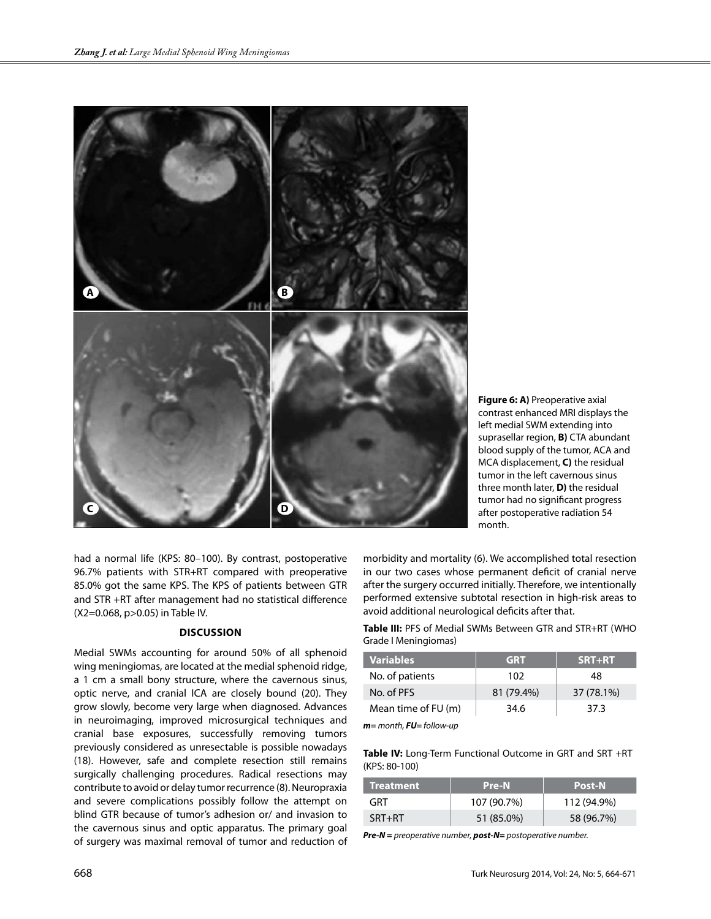

**Figure 6: A)** Preoperative axial contrast enhanced MRI displays the left medial SWM extending into suprasellar region, **B)** CTA abundant blood supply of the tumor, ACA and MCA displacement, **C)** the residual tumor in the left cavernous sinus three month later, **D)** the residual tumor had no significant progress after postoperative radiation 54 month.

had a normal life (KPS: 80–100). By contrast, postoperative 96.7% patients with STR+RT compared with preoperative 85.0% got the same KPS. The KPS of patients between GTR and STR +RT after management had no statistical difference (X2=0.068, p>0.05) in Table IV.

#### **Discussion**

Medial SWMs accounting for around 50% of all sphenoid wing meningiomas, are located at the medial sphenoid ridge, a 1 cm a small bony structure, where the cavernous sinus, optic nerve, and cranial ICA are closely bound (20). They grow slowly, become very large when diagnosed. Advances in neuroimaging, improved microsurgical techniques and cranial base exposures, successfully removing tumors previously considered as unresectable is possible nowadays (18). However, safe and complete resection still remains surgically challenging procedures. Radical resections may contribute to avoid or delay tumor recurrence (8). Neuropraxia and severe complications possibly follow the attempt on blind GTR because of tumor's adhesion or/ and invasion to the cavernous sinus and optic apparatus. The primary goal of surgery was maximal removal of tumor and reduction of morbidity and mortality (6). We accomplished total resection in our two cases whose permanent deficit of cranial nerve after the surgery occurred initially. Therefore, we intentionally performed extensive subtotal resection in high-risk areas to avoid additional neurological deficits after that.

**Table III:** PFS of Medial SWMs Between GTR and STR+RT (WHO Grade I Meningiomas)

| <b>Variables</b>    | GRT        | <b>ISRT+RT</b> |
|---------------------|------------|----------------|
| No. of patients     | 102        | 48             |
| No. of PFS          | 81 (79.4%) | 37 (78.1%)     |
| Mean time of FU (m) | 34.6       | 37.3           |

*m= month, FU= follow-up*

**Table IV:** Long-Term Functional Outcome in GRT and SRT +RT (KPS: 80-100)

| <b>Treatment</b> | <b>Pre-N</b> | <b>Post-N</b> |
|------------------|--------------|---------------|
| GRT              | 107 (90.7%)  | 112 (94.9%)   |
| SRT+RT           | 51 (85.0%)   | 58 (96.7%)    |

*Pre-N = preoperative number, post-N= postoperative number.*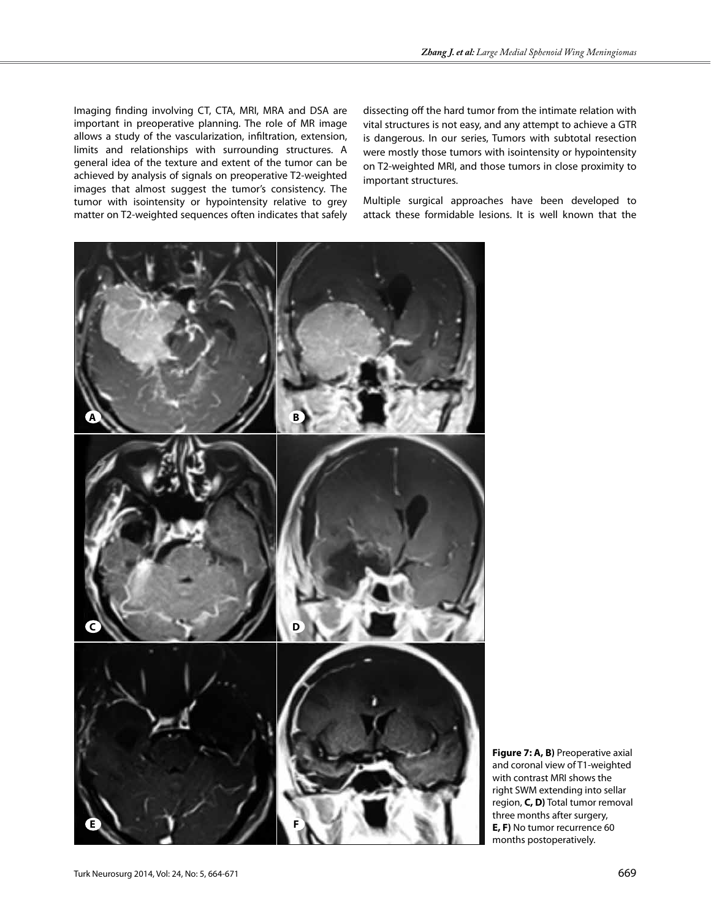Imaging finding involving CT, CTA, MRI, MRA and DSA are important in preoperative planning. The role of MR image allows a study of the vascularization, infiltration, extension, limits and relationships with surrounding structures. A general idea of the texture and extent of the tumor can be achieved by analysis of signals on preoperative T2-weighted images that almost suggest the tumor's consistency. The tumor with isointensity or hypointensity relative to grey matter on T2-weighted sequences often indicates that safely dissecting off the hard tumor from the intimate relation with vital structures is not easy, and any attempt to achieve a GTR is dangerous. In our series, Tumors with subtotal resection were mostly those tumors with isointensity or hypointensity on T2-weighted MRI, and those tumors in close proximity to important structures.

Multiple surgical approaches have been developed to attack these formidable lesions. It is well known that the

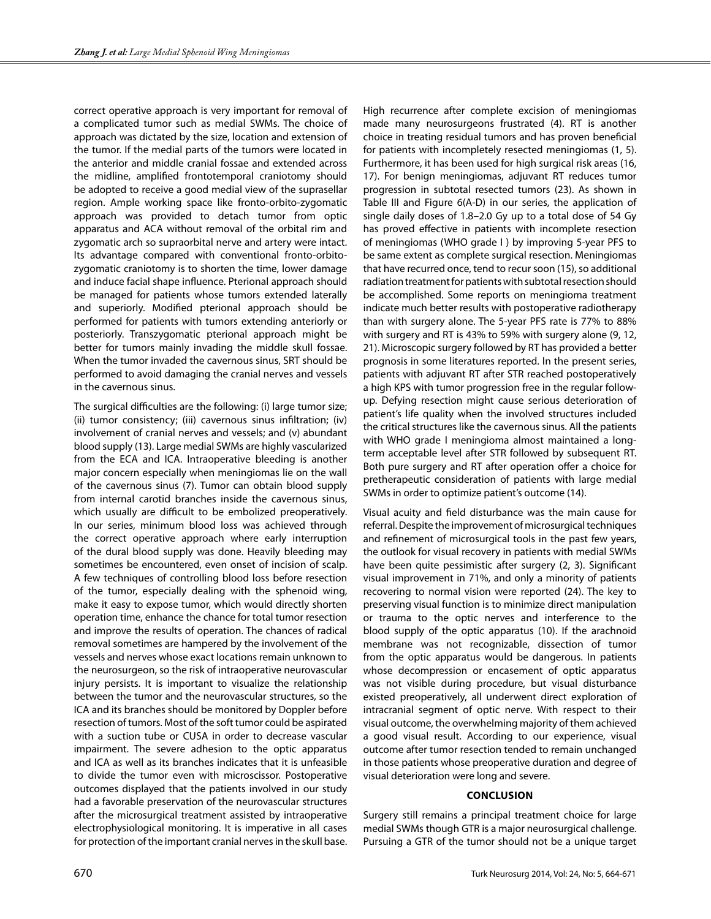correct operative approach is very important for removal of a complicated tumor such as medial SWMs. The choice of approach was dictated by the size, location and extension of the tumor. If the medial parts of the tumors were located in the anterior and middle cranial fossae and extended across the midline, amplified frontotemporal craniotomy should be adopted to receive a good medial view of the suprasellar region. Ample working space like fronto-orbito-zygomatic approach was provided to detach tumor from optic apparatus and ACA without removal of the orbital rim and zygomatic arch so supraorbital nerve and artery were intact. Its advantage compared with conventional fronto-orbitozygomatic craniotomy is to shorten the time, lower damage and induce facial shape influence. Pterional approach should be managed for patients whose tumors extended laterally and superiorly. Modified pterional approach should be performed for patients with tumors extending anteriorly or posteriorly. Transzygomatic pterional approach might be better for tumors mainly invading the middle skull fossae. When the tumor invaded the cavernous sinus, SRT should be performed to avoid damaging the cranial nerves and vessels in the cavernous sinus.

The surgical difficulties are the following: (i) large tumor size; (ii) tumor consistency; (iii) cavernous sinus infiltration; (iv) involvement of cranial nerves and vessels; and (v) abundant blood supply (13). Large medial SWMs are highly vascularized from the ECA and ICA. Intraoperative bleeding is another major concern especially when meningiomas lie on the wall of the cavernous sinus (7). Tumor can obtain blood supply from internal carotid branches inside the cavernous sinus, which usually are difficult to be embolized preoperatively. In our series, minimum blood loss was achieved through the correct operative approach where early interruption of the dural blood supply was done. Heavily bleeding may sometimes be encountered, even onset of incision of scalp. A few techniques of controlling blood loss before resection of the tumor, especially dealing with the sphenoid wing, make it easy to expose tumor, which would directly shorten operation time, enhance the chance for total tumor resection and improve the results of operation. The chances of radical removal sometimes are hampered by the involvement of the vessels and nerves whose exact locations remain unknown to the neurosurgeon, so the risk of intraoperative neurovascular injury persists. It is important to visualize the relationship between the tumor and the neurovascular structures, so the ICA and its branches should be monitored by Doppler before resection of tumors. Most of the soft tumor could be aspirated with a suction tube or CUSA in order to decrease vascular impairment. The severe adhesion to the optic apparatus and ICA as well as its branches indicates that it is unfeasible to divide the tumor even with microscissor. Postoperative outcomes displayed that the patients involved in our study had a favorable preservation of the neurovascular structures after the microsurgical treatment assisted by intraoperative electrophysiological monitoring. It is imperative in all cases for protection of the important cranial nerves in the skull base. High recurrence after complete excision of meningiomas made many neurosurgeons frustrated (4). RT is another choice in treating residual tumors and has proven beneficial for patients with incompletely resected meningiomas (1, 5). Furthermore, it has been used for high surgical risk areas (16, 17). For benign meningiomas, adjuvant RT reduces tumor progression in subtotal resected tumors (23). As shown in Table III and Figure 6(A-D) in our series, the application of single daily doses of 1.8–2.0 Gy up to a total dose of 54 Gy has proved effective in patients with incomplete resection of meningiomas (WHO grade I ) by improving 5-year PFS to be same extent as complete surgical resection. Meningiomas that have recurred once, tend to recur soon (15), so additional radiation treatment for patients with subtotal resection should be accomplished. Some reports on meningioma treatment indicate much better results with postoperative radiotherapy than with surgery alone. The 5-year PFS rate is 77% to 88% with surgery and RT is 43% to 59% with surgery alone (9, 12, 21). Microscopic surgery followed by RT has provided a better prognosis in some literatures reported. In the present series, patients with adjuvant RT after STR reached postoperatively a high KPS with tumor progression free in the regular followup. Defying resection might cause serious deterioration of patient's life quality when the involved structures included the critical structures like the cavernous sinus. All the patients with WHO grade I meningioma almost maintained a longterm acceptable level after STR followed by subsequent RT. Both pure surgery and RT after operation offer a choice for pretherapeutic consideration of patients with large medial SWMs in order to optimize patient's outcome (14).

Visual acuity and field disturbance was the main cause for referral. Despite the improvement of microsurgical techniques and refinement of microsurgical tools in the past few years, the outlook for visual recovery in patients with medial SWMs have been quite pessimistic after surgery (2, 3). Significant visual improvement in 71%, and only a minority of patients recovering to normal vision were reported (24). The key to preserving visual function is to minimize direct manipulation or trauma to the optic nerves and interference to the blood supply of the optic apparatus (10). If the arachnoid membrane was not recognizable, dissection of tumor from the optic apparatus would be dangerous. In patients whose decompression or encasement of optic apparatus was not visible during procedure, but visual disturbance existed preoperatively, all underwent direct exploration of intracranial segment of optic nerve. With respect to their visual outcome, the overwhelming majority of them achieved a good visual result. According to our experience, visual outcome after tumor resection tended to remain unchanged in those patients whose preoperative duration and degree of visual deterioration were long and severe.

#### **Conclusion**

Surgery still remains a principal treatment choice for large medial SWMs though GTR is a major neurosurgical challenge. Pursuing a GTR of the tumor should not be a unique target